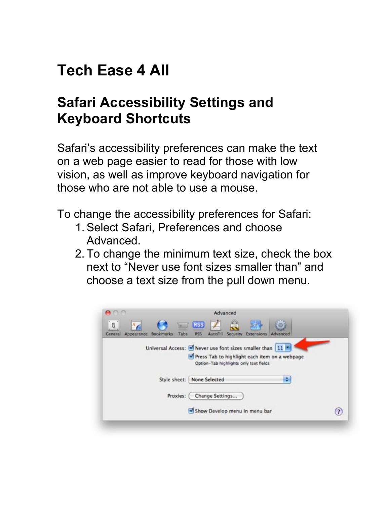## **Tech Ease 4 All**

## **Safari Accessibility Settings and Keyboard Shortcuts**

 Safari's accessibility preferences can make the text on a web page easier to read for those with low vision, as well as improve keyboard navigation for those who are not able to use a mouse.

To change the accessibility preferences for Safari:

- 1. Select Safari, Preferences and choose Advanced.
- 2. To change the minimum text size, check the box next to "Never use font sizes smaller than" and choose a text size from the pull down menu.

| $\theta$              | <b>Tellis</b>              | <b>RSS</b>                                                                                                  |  |
|-----------------------|----------------------------|-------------------------------------------------------------------------------------------------------------|--|
| Appearance<br>General | <b>Bookmarks</b><br>Tabs   | AutoFill Security Extensions Advanced<br>RSS.                                                               |  |
|                       |                            | Universal Access: M Never use font sizes smaller than 11 *<br>Press Tab to highlight each item on a webpage |  |
|                       |                            | Option-Tab highlights only text fields                                                                      |  |
|                       |                            | ٥                                                                                                           |  |
|                       |                            |                                                                                                             |  |
|                       | Style sheet: None Selected |                                                                                                             |  |
|                       | Proxies:                   | Change Settings                                                                                             |  |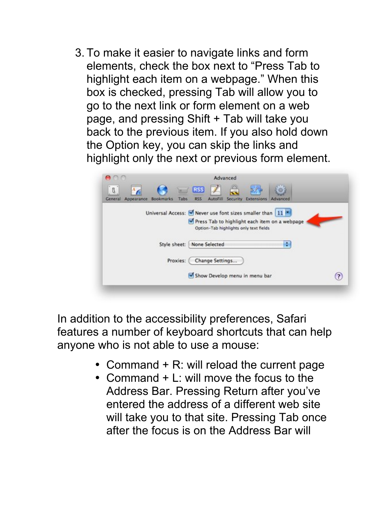3. To make it easier to navigate links and form elements, check the box next to "Press Tab to highlight each item on a webpage." When this box is checked, pressing Tab will allow you to go to the next link or form element on a web page, and pressing Shift + Tab will take you back to the previous item. If you also hold down the Option key, you can skip the links and highlight only the next or previous form element.

|                             | Advanced                                                                                      |  |
|-----------------------------|-----------------------------------------------------------------------------------------------|--|
| л.<br>General<br>Appearance | <b>RSS</b><br>AutoFill<br>Security Extensions<br><b>Bookmarks</b><br>Tabs<br>RSS.<br>Advanced |  |
|                             | Universal Access: M Never use font sizes smaller than 11 *                                    |  |
|                             | Press Tab to highlight each item on a webpage                                                 |  |
|                             | Option-Tab highlights only text fields                                                        |  |
|                             | ٠<br>None Selected<br>Style sheet:                                                            |  |
|                             |                                                                                               |  |
|                             | Change Settings<br>Proxies:                                                                   |  |

 In addition to the accessibility preferences, Safari features a number of keyboard shortcuts that can help anyone who is not able to use a mouse:

- Command + R: will reload the current page
- Command + L: will move the focus to the Address Bar. Pressing Return after you've entered the address of a different web site will take you to that site. Pressing Tab once after the focus is on the Address Bar will